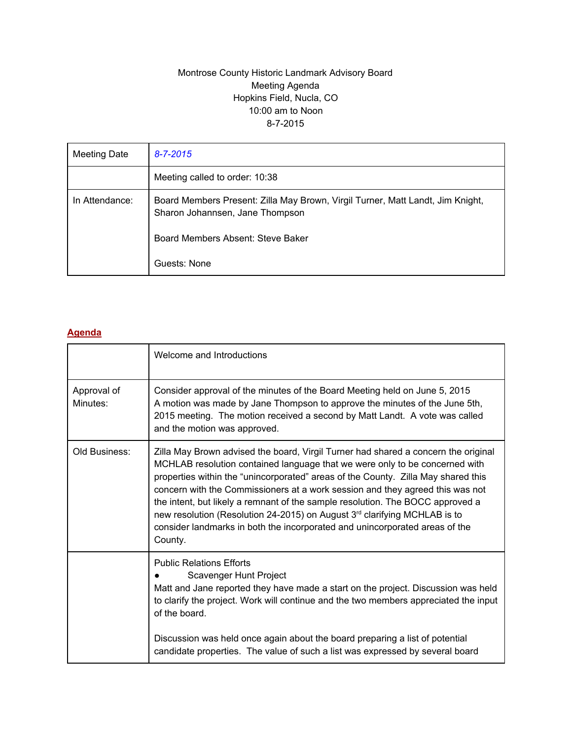#### Montrose County Historic Landmark Advisory Board Meeting Agenda Hopkins Field, Nucla, CO 10:00 am to Noon 8-7-2015

| Meeting Date   | $8 - 7 - 2015$                                                                                                    |
|----------------|-------------------------------------------------------------------------------------------------------------------|
|                | Meeting called to order: 10:38                                                                                    |
| In Attendance: | Board Members Present: Zilla May Brown, Virgil Turner, Matt Landt, Jim Knight,<br>Sharon Johannsen, Jane Thompson |
|                | Board Members Absent: Steve Baker                                                                                 |
|                | Guests: None                                                                                                      |

## **Agenda**

|                         | Welcome and Introductions                                                                                                                                                                                                                                                                                                                                                                                                                                                                                                                                                                                    |  |  |  |
|-------------------------|--------------------------------------------------------------------------------------------------------------------------------------------------------------------------------------------------------------------------------------------------------------------------------------------------------------------------------------------------------------------------------------------------------------------------------------------------------------------------------------------------------------------------------------------------------------------------------------------------------------|--|--|--|
| Approval of<br>Minutes: | Consider approval of the minutes of the Board Meeting held on June 5, 2015<br>A motion was made by Jane Thompson to approve the minutes of the June 5th,<br>2015 meeting. The motion received a second by Matt Landt. A vote was called<br>and the motion was approved.                                                                                                                                                                                                                                                                                                                                      |  |  |  |
| Old Business:           | Zilla May Brown advised the board, Virgil Turner had shared a concern the original<br>MCHLAB resolution contained language that we were only to be concerned with<br>properties within the "unincorporated" areas of the County. Zilla May shared this<br>concern with the Commissioners at a work session and they agreed this was not<br>the intent, but likely a remnant of the sample resolution. The BOCC approved a<br>new resolution (Resolution 24-2015) on August 3 <sup>rd</sup> clarifying MCHLAB is to<br>consider landmarks in both the incorporated and unincorporated areas of the<br>County. |  |  |  |
|                         | <b>Public Relations Efforts</b><br>Scavenger Hunt Project<br>Matt and Jane reported they have made a start on the project. Discussion was held<br>to clarify the project. Work will continue and the two members appreciated the input<br>of the board.<br>Discussion was held once again about the board preparing a list of potential<br>candidate properties. The value of such a list was expressed by several board                                                                                                                                                                                     |  |  |  |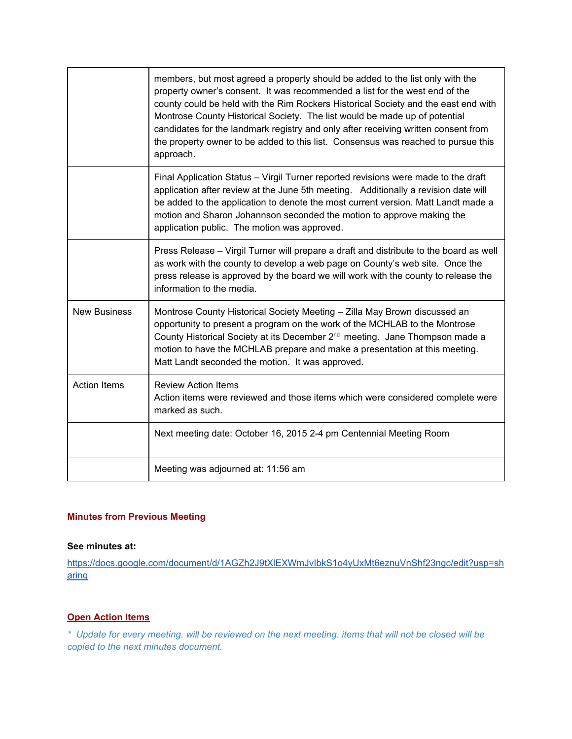|                     | members, but most agreed a property should be added to the list only with the<br>property owner's consent. It was recommended a list for the west end of the<br>county could be held with the Rim Rockers Historical Society and the east end with<br>Montrose County Historical Society. The list would be made up of potential<br>candidates for the landmark registry and only after receiving written consent from<br>the property owner to be added to this list. Consensus was reached to pursue this<br>approach. |
|---------------------|--------------------------------------------------------------------------------------------------------------------------------------------------------------------------------------------------------------------------------------------------------------------------------------------------------------------------------------------------------------------------------------------------------------------------------------------------------------------------------------------------------------------------|
|                     | Final Application Status - Virgil Turner reported revisions were made to the draft<br>application after review at the June 5th meeting. Additionally a revision date will<br>be added to the application to denote the most current version. Matt Landt made a<br>motion and Sharon Johannson seconded the motion to approve making the<br>application public. The motion was approved.                                                                                                                                  |
|                     | Press Release - Virgil Turner will prepare a draft and distribute to the board as well<br>as work with the county to develop a web page on County's web site. Once the<br>press release is approved by the board we will work with the county to release the<br>information to the media.                                                                                                                                                                                                                                |
| <b>New Business</b> | Montrose County Historical Society Meeting - Zilla May Brown discussed an<br>opportunity to present a program on the work of the MCHLAB to the Montrose<br>County Historical Society at its December 2 <sup>nd</sup> meeting. Jane Thompson made a<br>motion to have the MCHLAB prepare and make a presentation at this meeting.<br>Matt Landt seconded the motion. It was approved.                                                                                                                                     |
| <b>Action Items</b> | <b>Review Action Items</b><br>Action items were reviewed and those items which were considered complete were<br>marked as such.                                                                                                                                                                                                                                                                                                                                                                                          |
|                     | Next meeting date: October 16, 2015 2-4 pm Centennial Meeting Room                                                                                                                                                                                                                                                                                                                                                                                                                                                       |
|                     | Meeting was adjourned at: 11:56 am                                                                                                                                                                                                                                                                                                                                                                                                                                                                                       |

## **Minutes from Previous Meeting**

#### **See minutes at:**

[https://docs.google.com/document/d/1AGZh2J9tXlEXWmJvIbkS1o4yUxMt6eznuVnShf23ngc/edit?usp=sh](https://docs.google.com/document/d/1AGZh2J9tXlEXWmJvIbkS1o4yUxMt6eznuVnShf23ngc/edit?usp=sharing) [aring](https://docs.google.com/document/d/1AGZh2J9tXlEXWmJvIbkS1o4yUxMt6eznuVnShf23ngc/edit?usp=sharing)

# **Open Action Items**

\* Update for every meeting. will be reviewed on the next meeting. items that will not be closed will be *copied to the next minutes document.*